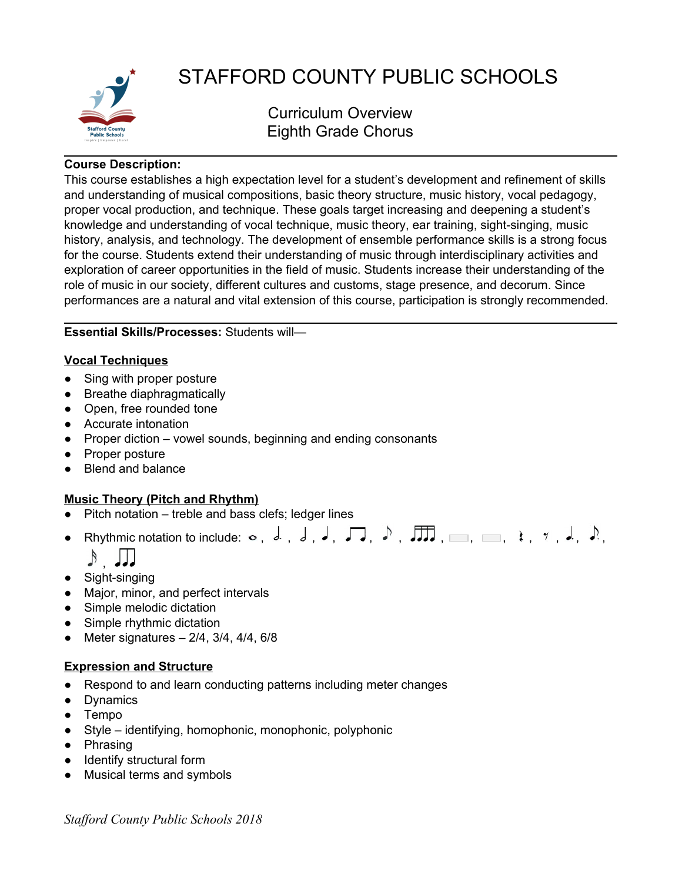

# STAFFORD COUNTY PUBLIC SCHOOLS

Curriculum Overview Eighth Grade Chorus

### **Course Description:**

This course establishes a high expectation level for a student's development and refinement of skills and understanding of musical compositions, basic theory structure, music history, vocal pedagogy, proper vocal production, and technique. These goals target increasing and deepening a student's knowledge and understanding of vocal technique, music theory, ear training, sight-singing, music history, analysis, and technology. The development of ensemble performance skills is a strong focus for the course. Students extend their understanding of music through interdisciplinary activities and exploration of career opportunities in the field of music. Students increase their understanding of the role of music in our society, different cultures and customs, stage presence, and decorum. Since performances are a natural and vital extension of this course, participation is strongly recommended.

**Essential Skills/Processes:** Students will—

## **Vocal Techniques**

- Sing with proper posture
- Breathe diaphragmatically
- Open, free rounded tone
- Accurate intonation
- Proper diction vowel sounds, beginning and ending consonants
- Proper posture
- Blend and balance

## **Music Theory (Pitch and Rhythm)**

- $\bullet$  Pitch notation treble and bass clefs; ledger lines
- Rhythmic notation to include: , , , , , , , , , , , , ,

$$
\mathbb{R}, \mathsf{Id}
$$

- Sight-singing
- Major, minor, and perfect intervals
- Simple melodic dictation
- Simple rhythmic dictation
- Meter signatures  $-2/4$ ,  $3/4$ ,  $4/4$ ,  $6/8$

## **Expression and Structure**

- Respond to and learn conducting patterns including meter changes
- Dynamics
- Tempo
- Style identifying, homophonic, monophonic, polyphonic
- Phrasing
- Identify structural form
- Musical terms and symbols

*Stafford County Public Schools 2018*